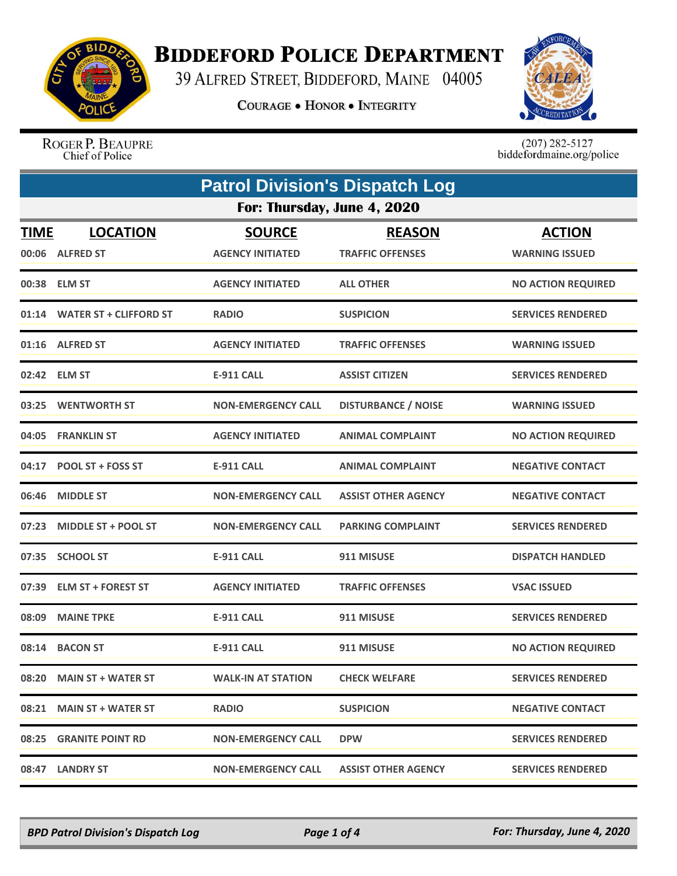

## **BIDDEFORD POLICE DEPARTMENT**

39 ALFRED STREET, BIDDEFORD, MAINE 04005

**COURAGE . HONOR . INTEGRITY** 



ROGER P. BEAUPRE Chief of Police

 $(207)$  282-5127<br>biddefordmaine.org/police

|             | <b>Patrol Division's Dispatch Log</b> |                                          |                                          |                                        |  |
|-------------|---------------------------------------|------------------------------------------|------------------------------------------|----------------------------------------|--|
|             | For: Thursday, June 4, 2020           |                                          |                                          |                                        |  |
| <b>TIME</b> | <b>LOCATION</b><br>00:06 ALFRED ST    | <b>SOURCE</b><br><b>AGENCY INITIATED</b> | <b>REASON</b><br><b>TRAFFIC OFFENSES</b> | <b>ACTION</b><br><b>WARNING ISSUED</b> |  |
|             | 00:38 ELM ST                          | <b>AGENCY INITIATED</b>                  | <b>ALL OTHER</b>                         | <b>NO ACTION REQUIRED</b>              |  |
|             | 01:14 WATER ST + CLIFFORD ST          | <b>RADIO</b>                             | <b>SUSPICION</b>                         | <b>SERVICES RENDERED</b>               |  |
|             | 01:16 ALFRED ST                       | <b>AGENCY INITIATED</b>                  | <b>TRAFFIC OFFENSES</b>                  | <b>WARNING ISSUED</b>                  |  |
|             | 02:42 ELM ST                          | E-911 CALL                               | <b>ASSIST CITIZEN</b>                    | <b>SERVICES RENDERED</b>               |  |
| 03:25       | <b>WENTWORTH ST</b>                   | <b>NON-EMERGENCY CALL</b>                | <b>DISTURBANCE / NOISE</b>               | <b>WARNING ISSUED</b>                  |  |
| 04:05       | <b>FRANKLIN ST</b>                    | <b>AGENCY INITIATED</b>                  | <b>ANIMAL COMPLAINT</b>                  | <b>NO ACTION REQUIRED</b>              |  |
| 04:17       | <b>POOL ST + FOSS ST</b>              | <b>E-911 CALL</b>                        | <b>ANIMAL COMPLAINT</b>                  | <b>NEGATIVE CONTACT</b>                |  |
| 06:46       | <b>MIDDLE ST</b>                      | <b>NON-EMERGENCY CALL</b>                | <b>ASSIST OTHER AGENCY</b>               | <b>NEGATIVE CONTACT</b>                |  |
| 07:23       | <b>MIDDLE ST + POOL ST</b>            | <b>NON-EMERGENCY CALL</b>                | <b>PARKING COMPLAINT</b>                 | <b>SERVICES RENDERED</b>               |  |
| 07:35       | <b>SCHOOL ST</b>                      | <b>E-911 CALL</b>                        | 911 MISUSE                               | <b>DISPATCH HANDLED</b>                |  |
|             | 07:39 ELM ST + FOREST ST              | <b>AGENCY INITIATED</b>                  | <b>TRAFFIC OFFENSES</b>                  | <b>VSAC ISSUED</b>                     |  |
| 08:09       | <b>MAINE TPKE</b>                     | <b>E-911 CALL</b>                        | 911 MISUSE                               | <b>SERVICES RENDERED</b>               |  |
| 08:14       | <b>BACON ST</b>                       | <b>E-911 CALL</b>                        | 911 MISUSE                               | <b>NO ACTION REQUIRED</b>              |  |
| 08:20       | <b>MAIN ST + WATER ST</b>             | <b>WALK-IN AT STATION</b>                | <b>CHECK WELFARE</b>                     | <b>SERVICES RENDERED</b>               |  |
|             | 08:21 MAIN ST + WATER ST              | <b>RADIO</b>                             | <b>SUSPICION</b>                         | <b>NEGATIVE CONTACT</b>                |  |
|             | 08:25 GRANITE POINT RD                | <b>NON-EMERGENCY CALL</b>                | <b>DPW</b>                               | <b>SERVICES RENDERED</b>               |  |
|             | 08:47 LANDRY ST                       | <b>NON-EMERGENCY CALL</b>                | <b>ASSIST OTHER AGENCY</b>               | <b>SERVICES RENDERED</b>               |  |

*BPD Patrol Division's Dispatch Log Page 1 of 4 For: Thursday, June 4, 2020*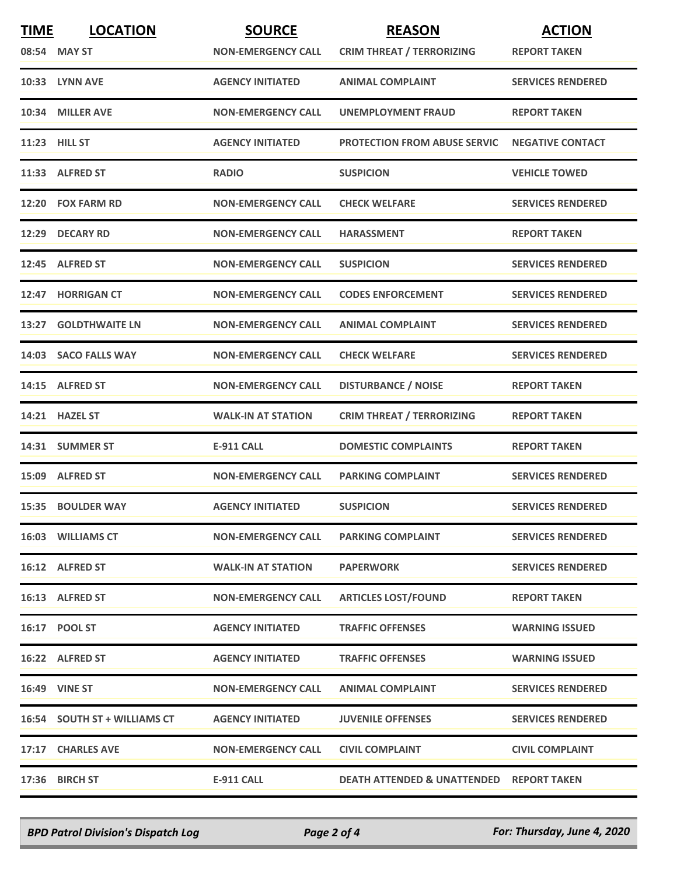| <b>TIME</b> | <b>LOCATION</b><br>08:54 MAY ST | <b>SOURCE</b><br><b>NON-EMERGENCY CALL</b> | <b>REASON</b><br><b>CRIM THREAT / TERRORIZING</b>   | <b>ACTION</b><br><b>REPORT TAKEN</b> |
|-------------|---------------------------------|--------------------------------------------|-----------------------------------------------------|--------------------------------------|
|             | 10:33 LYNN AVE                  | <b>AGENCY INITIATED</b>                    | <b>ANIMAL COMPLAINT</b>                             | <b>SERVICES RENDERED</b>             |
|             | 10:34 MILLER AVE                | <b>NON-EMERGENCY CALL</b>                  | UNEMPLOYMENT FRAUD                                  | <b>REPORT TAKEN</b>                  |
|             | 11:23 HILL ST                   | <b>AGENCY INITIATED</b>                    | <b>PROTECTION FROM ABUSE SERVIC</b>                 | <b>NEGATIVE CONTACT</b>              |
|             | 11:33 ALFRED ST                 | <b>RADIO</b>                               | <b>SUSPICION</b>                                    | <b>VEHICLE TOWED</b>                 |
|             | 12:20 FOX FARM RD               | <b>NON-EMERGENCY CALL</b>                  | <b>CHECK WELFARE</b>                                | <b>SERVICES RENDERED</b>             |
|             | 12:29 DECARY RD                 | <b>NON-EMERGENCY CALL</b>                  | <b>HARASSMENT</b>                                   | <b>REPORT TAKEN</b>                  |
|             | 12:45 ALFRED ST                 | <b>NON-EMERGENCY CALL</b>                  | <b>SUSPICION</b>                                    | <b>SERVICES RENDERED</b>             |
|             | 12:47 HORRIGAN CT               | <b>NON-EMERGENCY CALL</b>                  | <b>CODES ENFORCEMENT</b>                            | <b>SERVICES RENDERED</b>             |
| 13:27       | <b>GOLDTHWAITE LN</b>           | <b>NON-EMERGENCY CALL</b>                  | <b>ANIMAL COMPLAINT</b>                             | <b>SERVICES RENDERED</b>             |
|             | 14:03 SACO FALLS WAY            | <b>NON-EMERGENCY CALL</b>                  | <b>CHECK WELFARE</b>                                | <b>SERVICES RENDERED</b>             |
|             | 14:15 ALFRED ST                 | <b>NON-EMERGENCY CALL</b>                  | <b>DISTURBANCE / NOISE</b>                          | <b>REPORT TAKEN</b>                  |
|             | 14:21 HAZEL ST                  | <b>WALK-IN AT STATION</b>                  | <b>CRIM THREAT / TERRORIZING</b>                    | <b>REPORT TAKEN</b>                  |
|             | 14:31 SUMMER ST                 | <b>E-911 CALL</b>                          | <b>DOMESTIC COMPLAINTS</b>                          | <b>REPORT TAKEN</b>                  |
|             | 15:09 ALFRED ST                 | <b>NON-EMERGENCY CALL</b>                  | <b>PARKING COMPLAINT</b>                            | <b>SERVICES RENDERED</b>             |
|             | 15:35 BOULDER WAY               | <b>AGENCY INITIATED</b>                    | <b>SUSPICION</b>                                    | <b>SERVICES RENDERED</b>             |
|             | 16:03 WILLIAMS CT               | <b>NON-EMERGENCY CALL</b>                  | <b>PARKING COMPLAINT</b>                            | <b>SERVICES RENDERED</b>             |
|             | 16:12 ALFRED ST                 | <b>WALK-IN AT STATION</b>                  | <b>PAPERWORK</b>                                    | <b>SERVICES RENDERED</b>             |
|             | 16:13 ALFRED ST                 | <b>NON-EMERGENCY CALL</b>                  | <b>ARTICLES LOST/FOUND</b>                          | <b>REPORT TAKEN</b>                  |
|             | 16:17 POOL ST                   | <b>AGENCY INITIATED</b>                    | <b>TRAFFIC OFFENSES</b>                             | <b>WARNING ISSUED</b>                |
|             | 16:22 ALFRED ST                 | <b>AGENCY INITIATED</b>                    | <b>TRAFFIC OFFENSES</b>                             | <b>WARNING ISSUED</b>                |
|             | <b>16:49 VINE ST</b>            | <b>NON-EMERGENCY CALL</b>                  | <b>ANIMAL COMPLAINT</b>                             | <b>SERVICES RENDERED</b>             |
|             | 16:54 SOUTH ST + WILLIAMS CT    | <b>AGENCY INITIATED</b>                    | <b>JUVENILE OFFENSES</b>                            | <b>SERVICES RENDERED</b>             |
|             | 17:17 CHARLES AVE               | <b>NON-EMERGENCY CALL</b>                  | <b>CIVIL COMPLAINT</b>                              | <b>CIVIL COMPLAINT</b>               |
|             | 17:36 BIRCH ST                  | E-911 CALL                                 | <b>DEATH ATTENDED &amp; UNATTENDED REPORT TAKEN</b> |                                      |

*BPD Patrol Division's Dispatch Log Page 2 of 4 For: Thursday, June 4, 2020*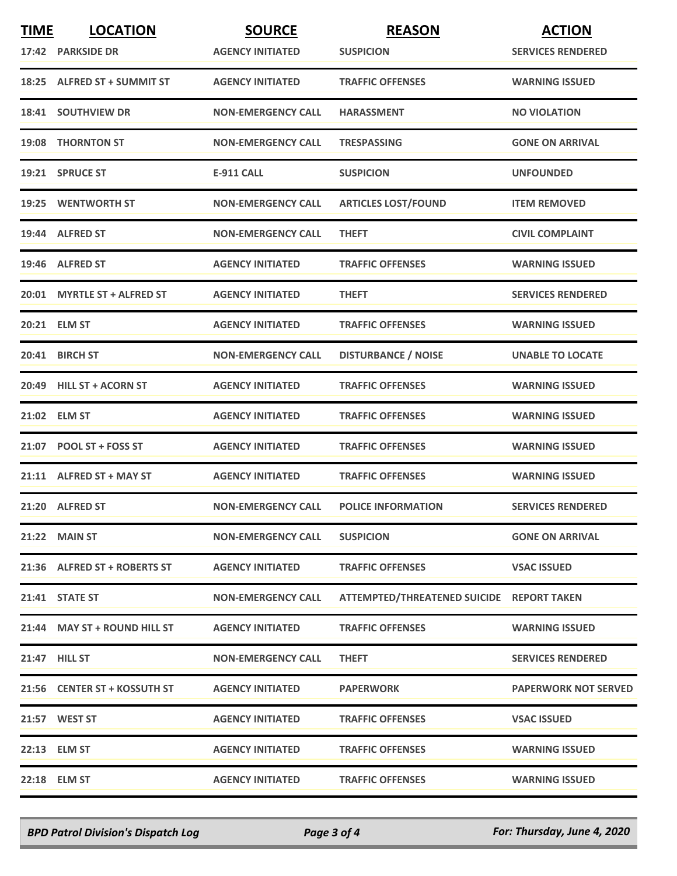| <b>TIME</b> | <b>LOCATION</b>              | <b>SOURCE</b>             | <b>REASON</b>                             | <b>ACTION</b>               |
|-------------|------------------------------|---------------------------|-------------------------------------------|-----------------------------|
|             | 17:42 PARKSIDE DR            | <b>AGENCY INITIATED</b>   | <b>SUSPICION</b>                          | <b>SERVICES RENDERED</b>    |
|             | 18:25 ALFRED ST + SUMMIT ST  | <b>AGENCY INITIATED</b>   | <b>TRAFFIC OFFENSES</b>                   | <b>WARNING ISSUED</b>       |
|             | 18:41 SOUTHVIEW DR           | <b>NON-EMERGENCY CALL</b> | <b>HARASSMENT</b>                         | <b>NO VIOLATION</b>         |
|             | 19:08 THORNTON ST            | <b>NON-EMERGENCY CALL</b> | <b>TRESPASSING</b>                        | <b>GONE ON ARRIVAL</b>      |
|             | 19:21 SPRUCE ST              | <b>E-911 CALL</b>         | <b>SUSPICION</b>                          | <b>UNFOUNDED</b>            |
|             | 19:25 WENTWORTH ST           | <b>NON-EMERGENCY CALL</b> | <b>ARTICLES LOST/FOUND</b>                | <b>ITEM REMOVED</b>         |
|             | 19:44 ALFRED ST              | <b>NON-EMERGENCY CALL</b> | <b>THEFT</b>                              | <b>CIVIL COMPLAINT</b>      |
|             | 19:46 ALFRED ST              | <b>AGENCY INITIATED</b>   | <b>TRAFFIC OFFENSES</b>                   | <b>WARNING ISSUED</b>       |
|             | 20:01 MYRTLE ST + ALFRED ST  | <b>AGENCY INITIATED</b>   | <b>THEFT</b>                              | <b>SERVICES RENDERED</b>    |
|             | 20:21 ELM ST                 | <b>AGENCY INITIATED</b>   | <b>TRAFFIC OFFENSES</b>                   | <b>WARNING ISSUED</b>       |
|             | 20:41 BIRCH ST               | <b>NON-EMERGENCY CALL</b> | <b>DISTURBANCE / NOISE</b>                | <b>UNABLE TO LOCATE</b>     |
|             | 20:49 HILL ST + ACORN ST     | <b>AGENCY INITIATED</b>   | <b>TRAFFIC OFFENSES</b>                   | <b>WARNING ISSUED</b>       |
|             | 21:02 ELM ST                 | <b>AGENCY INITIATED</b>   | <b>TRAFFIC OFFENSES</b>                   | <b>WARNING ISSUED</b>       |
|             | 21:07 POOL ST + FOSS ST      | <b>AGENCY INITIATED</b>   | <b>TRAFFIC OFFENSES</b>                   | <b>WARNING ISSUED</b>       |
|             | 21:11 ALFRED ST + MAY ST     | <b>AGENCY INITIATED</b>   | <b>TRAFFIC OFFENSES</b>                   | <b>WARNING ISSUED</b>       |
|             | 21:20 ALFRED ST              | <b>NON-EMERGENCY CALL</b> | <b>POLICE INFORMATION</b>                 | <b>SERVICES RENDERED</b>    |
|             | 21:22 MAIN ST                | <b>NON-EMERGENCY CALL</b> | <b>SUSPICION</b>                          | <b>GONE ON ARRIVAL</b>      |
|             | 21:36 ALFRED ST + ROBERTS ST | <b>AGENCY INITIATED</b>   | <b>TRAFFIC OFFENSES</b>                   | <b>VSAC ISSUED</b>          |
|             | 21:41 STATE ST               | <b>NON-EMERGENCY CALL</b> | ATTEMPTED/THREATENED SUICIDE REPORT TAKEN |                             |
|             | 21:44 MAY ST + ROUND HILL ST | <b>AGENCY INITIATED</b>   | <b>TRAFFIC OFFENSES</b>                   | <b>WARNING ISSUED</b>       |
|             | 21:47 HILL ST                | <b>NON-EMERGENCY CALL</b> | <b>THEFT</b>                              | <b>SERVICES RENDERED</b>    |
|             | 21:56 CENTER ST + KOSSUTH ST | <b>AGENCY INITIATED</b>   | <b>PAPERWORK</b>                          | <b>PAPERWORK NOT SERVED</b> |
|             | 21:57 WEST ST                | <b>AGENCY INITIATED</b>   | <b>TRAFFIC OFFENSES</b>                   | <b>VSAC ISSUED</b>          |
|             | 22:13 ELM ST                 | <b>AGENCY INITIATED</b>   | <b>TRAFFIC OFFENSES</b>                   | <b>WARNING ISSUED</b>       |
|             | 22:18 ELM ST                 | <b>AGENCY INITIATED</b>   | <b>TRAFFIC OFFENSES</b>                   | <b>WARNING ISSUED</b>       |

*BPD Patrol Division's Dispatch Log Page 3 of 4 For: Thursday, June 4, 2020*